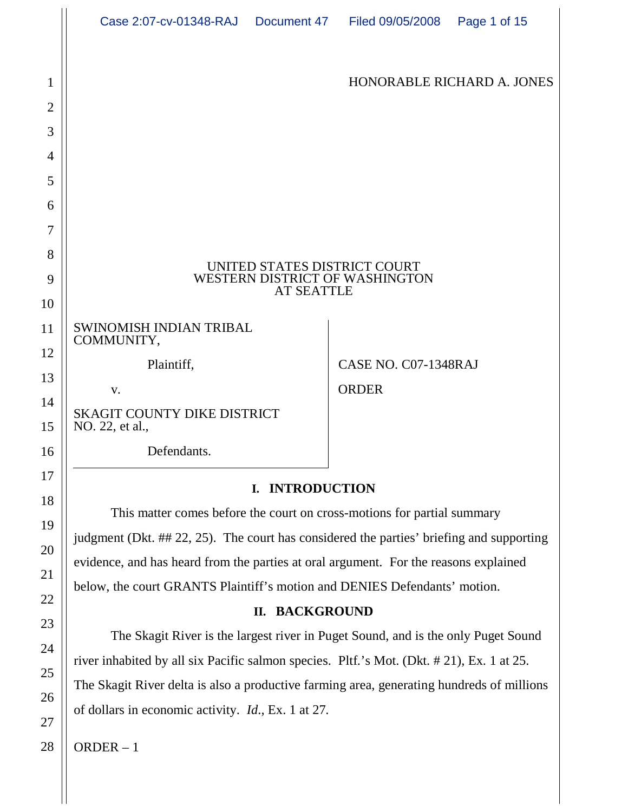|                | Case 2:07-cv-01348-RAJ  Document 47  Filed 09/05/2008                                                                                                                         |  |                      | Page 1 of 15 |
|----------------|-------------------------------------------------------------------------------------------------------------------------------------------------------------------------------|--|----------------------|--------------|
| 1              | HONORABLE RICHARD A. JONES                                                                                                                                                    |  |                      |              |
| $\overline{2}$ |                                                                                                                                                                               |  |                      |              |
| 3              |                                                                                                                                                                               |  |                      |              |
| 4              |                                                                                                                                                                               |  |                      |              |
| 5              |                                                                                                                                                                               |  |                      |              |
| 6              |                                                                                                                                                                               |  |                      |              |
| 7              |                                                                                                                                                                               |  |                      |              |
| 8              | UNITED STATES DISTRICT COURT<br><b>WESTERN DISTRICT OF WASHINGTON</b><br><b>AT SEATTLE</b>                                                                                    |  |                      |              |
| 9              |                                                                                                                                                                               |  |                      |              |
| 10             |                                                                                                                                                                               |  |                      |              |
| 11             | <b>SWINOMISH INDIAN TRIBAL</b><br>COMMUNITY,                                                                                                                                  |  |                      |              |
| 12             | Plaintiff,                                                                                                                                                                    |  | CASE NO. C07-1348RAJ |              |
| 13             | V.                                                                                                                                                                            |  | <b>ORDER</b>         |              |
| 14<br>15       | <b>SKAGIT COUNTY DIKE DISTRICT</b><br>NO. 22, et al.,                                                                                                                         |  |                      |              |
| 16             | Defendants.                                                                                                                                                                   |  |                      |              |
| 17             |                                                                                                                                                                               |  |                      |              |
| 18             | I. INTRODUCTION                                                                                                                                                               |  |                      |              |
| 19             | This matter comes before the court on cross-motions for partial summary                                                                                                       |  |                      |              |
| 20             | judgment (Dkt. ## 22, 25). The court has considered the parties' briefing and supporting                                                                                      |  |                      |              |
| 21             | evidence, and has heard from the parties at oral argument. For the reasons explained                                                                                          |  |                      |              |
| 22             | below, the court GRANTS Plaintiff's motion and DENIES Defendants' motion.                                                                                                     |  |                      |              |
| 23             | II. BACKGROUND                                                                                                                                                                |  |                      |              |
| 24             | The Skagit River is the largest river in Puget Sound, and is the only Puget Sound<br>river inhabited by all six Pacific salmon species. Pltf.'s Mot. (Dkt. #21), Ex. 1 at 25. |  |                      |              |
|                |                                                                                                                                                                               |  |                      |              |

The Skagit River delta is also a productive farming area, generating hundreds of millions of dollars in economic activity. *Id*., Ex. 1 at 27.

ORDER – 1

25

26

27

28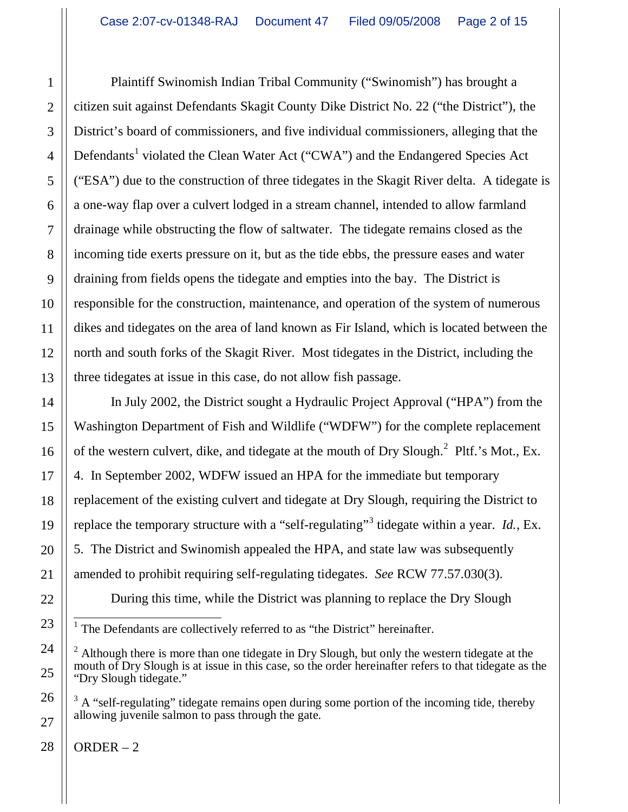Plaintiff Swinomish Indian Tribal Community ("Swinomish") has brought a citizen suit against Defendants Skagit County Dike District No. 22 ("the District"), the District's board of commissioners, and five individual commissioners, alleging that the Defendants<sup>1</sup> violated the Clean Water Act ("CWA") and the Endangered Species Act ("ESA") due to the construction of three tidegates in the Skagit River delta. A tidegate is a one-way flap over a culvert lodged in a stream channel, intended to allow farmland drainage while obstructing the flow of saltwater. The tidegate remains closed as the incoming tide exerts pressure on it, but as the tide ebbs, the pressure eases and water draining from fields opens the tidegate and empties into the bay. The District is responsible for the construction, maintenance, and operation of the system of numerous dikes and tidegates on the area of land known as Fir Island, which is located between the north and south forks of the Skagit River. Most tidegates in the District, including the three tidegates at issue in this case, do not allow fish passage.

In July 2002, the District sought a Hydraulic Project Approval ("HPA") from the Washington Department of Fish and Wildlife ("WDFW") for the complete replacement of the western culvert, dike, and tidegate at the mouth of Dry Slough.<sup>2</sup> Pltf.'s Mot., Ex. 4. In September 2002, WDFW issued an HPA for the immediate but temporary replacement of the existing culvert and tidegate at Dry Slough, requiring the District to replace the temporary structure with a "self-regulating"<sup>3</sup> tidegate within a year. *Id.*, Ex. 5. The District and Swinomish appealed the HPA, and state law was subsequently amended to prohibit requiring self-regulating tidegates. *See* RCW 77.57.030(3).

During this time, while the District was planning to replace the Dry Slough

<sup>&</sup>lt;sup>1</sup> The Defendants are collectively referred to as "the District" hereinafter.

 $2$  Although there is more than one tidegate in Dry Slough, but only the western tidegate at the mouth of Dry Slough is at issue in this case, so the order hereinafter refers to that tidegate as the "Dry Slough tidegate."

 $3$  A "self-regulating" tidegate remains open during some portion of the incoming tide, thereby allowing juvenile salmon to pass through the gate.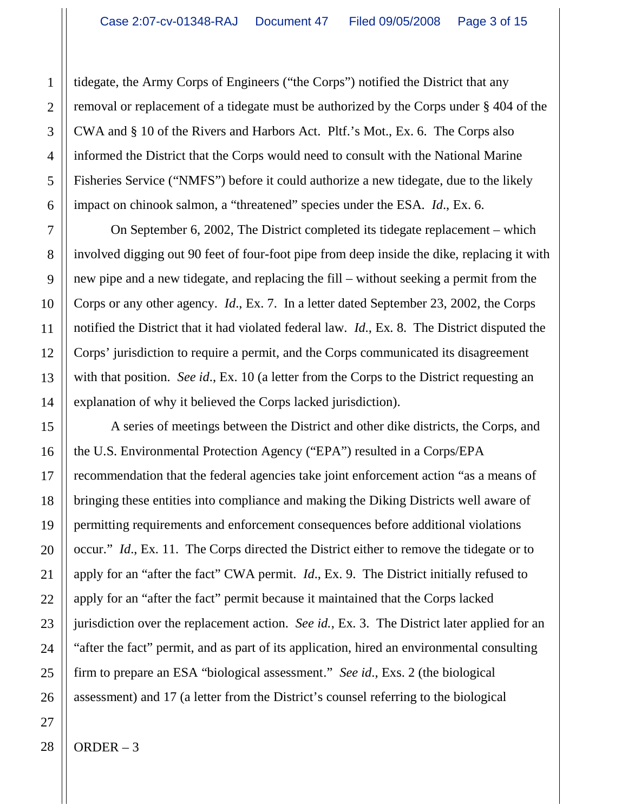tidegate, the Army Corps of Engineers ("the Corps") notified the District that any removal or replacement of a tidegate must be authorized by the Corps under § 404 of the CWA and § 10 of the Rivers and Harbors Act. Pltf.'s Mot., Ex. 6. The Corps also informed the District that the Corps would need to consult with the National Marine Fisheries Service ("NMFS") before it could authorize a new tidegate, due to the likely impact on chinook salmon, a "threatened" species under the ESA. *Id*., Ex. 6.

On September 6, 2002, The District completed its tidegate replacement – which involved digging out 90 feet of four-foot pipe from deep inside the dike, replacing it with new pipe and a new tidegate, and replacing the fill – without seeking a permit from the Corps or any other agency. *Id*., Ex. 7. In a letter dated September 23, 2002, the Corps notified the District that it had violated federal law. *Id*., Ex. 8. The District disputed the Corps' jurisdiction to require a permit, and the Corps communicated its disagreement with that position. *See id*., Ex. 10 (a letter from the Corps to the District requesting an explanation of why it believed the Corps lacked jurisdiction).

A series of meetings between the District and other dike districts, the Corps, and the U.S. Environmental Protection Agency ("EPA") resulted in a Corps/EPA recommendation that the federal agencies take joint enforcement action "as a means of bringing these entities into compliance and making the Diking Districts well aware of permitting requirements and enforcement consequences before additional violations occur." *Id*., Ex. 11. The Corps directed the District either to remove the tidegate or to apply for an "after the fact" CWA permit. *Id*., Ex. 9. The District initially refused to apply for an "after the fact" permit because it maintained that the Corps lacked jurisdiction over the replacement action. *See id.*, Ex. 3. The District later applied for an "after the fact" permit, and as part of its application, hired an environmental consulting firm to prepare an ESA "biological assessment." *See id*., Exs. 2 (the biological assessment) and 17 (a letter from the District's counsel referring to the biological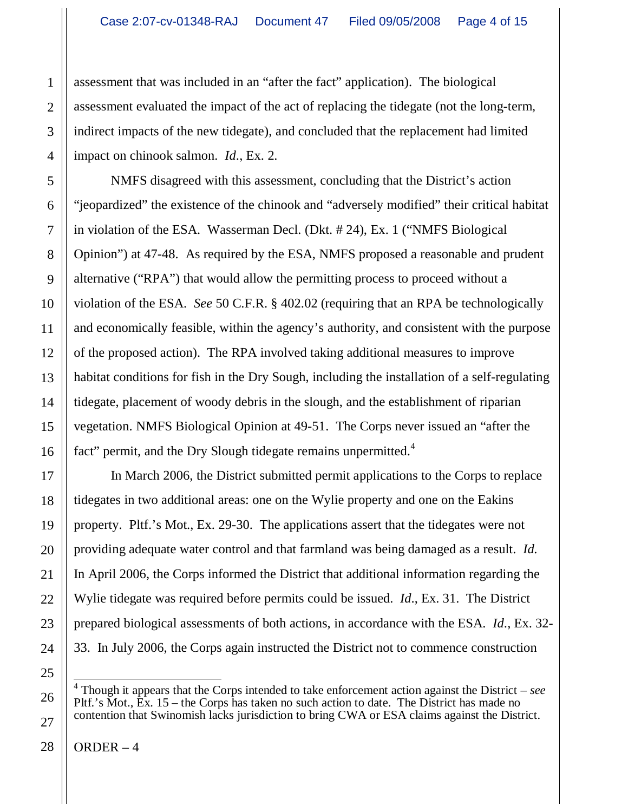assessment that was included in an "after the fact" application). The biological assessment evaluated the impact of the act of replacing the tidegate (not the long-term, indirect impacts of the new tidegate), and concluded that the replacement had limited impact on chinook salmon. *Id*., Ex. 2.

NMFS disagreed with this assessment, concluding that the District's action "jeopardized" the existence of the chinook and "adversely modified" their critical habitat in violation of the ESA. Wasserman Decl. (Dkt. # 24), Ex. 1 ("NMFS Biological Opinion") at 47-48. As required by the ESA, NMFS proposed a reasonable and prudent alternative ("RPA") that would allow the permitting process to proceed without a violation of the ESA. *See* 50 C.F.R. § 402.02 (requiring that an RPA be technologically and economically feasible, within the agency's authority, and consistent with the purpose of the proposed action). The RPA involved taking additional measures to improve habitat conditions for fish in the Dry Sough, including the installation of a self-regulating tidegate, placement of woody debris in the slough, and the establishment of riparian vegetation. NMFS Biological Opinion at 49-51. The Corps never issued an "after the fact" permit, and the Dry Slough tidegate remains unpermitted.<sup>4</sup>

In March 2006, the District submitted permit applications to the Corps to replace tidegates in two additional areas: one on the Wylie property and one on the Eakins property. Pltf.'s Mot., Ex. 29-30. The applications assert that the tidegates were not providing adequate water control and that farmland was being damaged as a result. *Id*. In April 2006, the Corps informed the District that additional information regarding the Wylie tidegate was required before permits could be issued. *Id*., Ex. 31. The District prepared biological assessments of both actions, in accordance with the ESA. *Id*., Ex. 32- 33. In July 2006, the Corps again instructed the District not to commence construction

 4 Though it appears that the Corps intended to take enforcement action against the District – *see* Pltf.'s Mot., Ex. 15 – the Corps has taken no such action to date. The District has made no contention that Swinomish lacks jurisdiction to bring CWA or ESA claims against the District.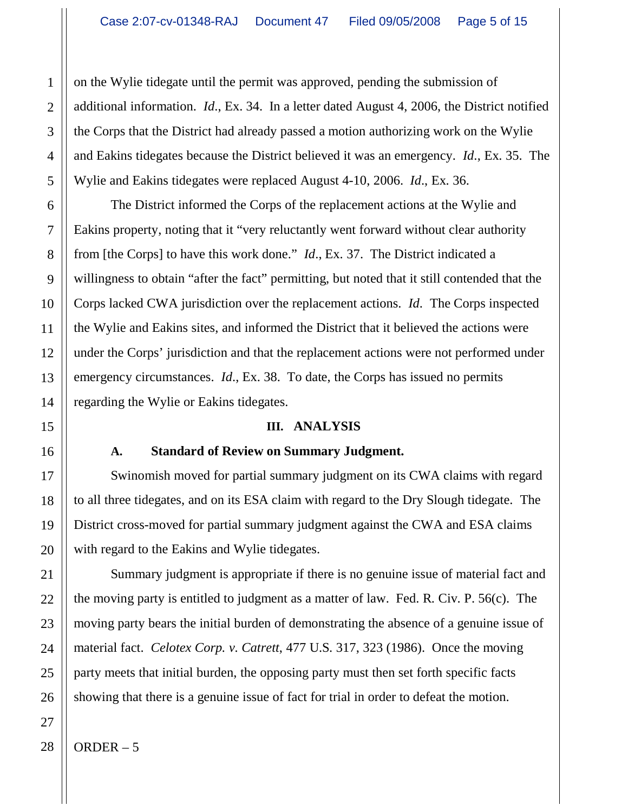on the Wylie tidegate until the permit was approved, pending the submission of additional information. *Id*., Ex. 34. In a letter dated August 4, 2006, the District notified the Corps that the District had already passed a motion authorizing work on the Wylie and Eakins tidegates because the District believed it was an emergency. *Id*., Ex. 35. The Wylie and Eakins tidegates were replaced August 4-10, 2006. *Id*., Ex. 36.

The District informed the Corps of the replacement actions at the Wylie and Eakins property, noting that it "very reluctantly went forward without clear authority from [the Corps] to have this work done." *Id*., Ex. 37. The District indicated a willingness to obtain "after the fact" permitting, but noted that it still contended that the Corps lacked CWA jurisdiction over the replacement actions. *Id*. The Corps inspected the Wylie and Eakins sites, and informed the District that it believed the actions were under the Corps' jurisdiction and that the replacement actions were not performed under emergency circumstances. *Id*., Ex. 38. To date, the Corps has issued no permits regarding the Wylie or Eakins tidegates.

#### **III. ANALYSIS**

#### **A. Standard of Review on Summary Judgment.**

Swinomish moved for partial summary judgment on its CWA claims with regard to all three tidegates, and on its ESA claim with regard to the Dry Slough tidegate. The District cross-moved for partial summary judgment against the CWA and ESA claims with regard to the Eakins and Wylie tidegates.

Summary judgment is appropriate if there is no genuine issue of material fact and the moving party is entitled to judgment as a matter of law. Fed. R. Civ. P. 56(c). The moving party bears the initial burden of demonstrating the absence of a genuine issue of material fact. *Celotex Corp. v. Catrett*, 477 U.S. 317, 323 (1986). Once the moving party meets that initial burden, the opposing party must then set forth specific facts showing that there is a genuine issue of fact for trial in order to defeat the motion.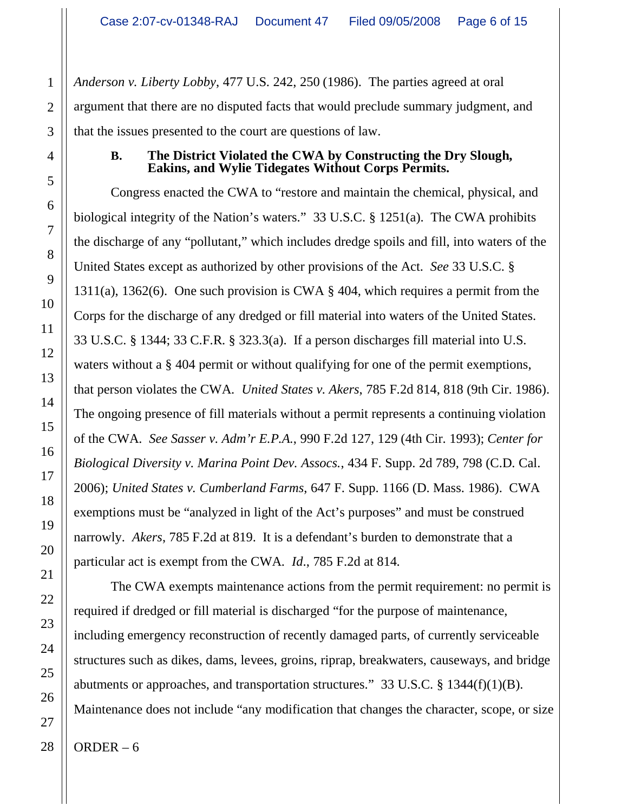*Anderson v. Liberty Lobby*, 477 U.S. 242, 250 (1986). The parties agreed at oral argument that there are no disputed facts that would preclude summary judgment, and that the issues presented to the court are questions of law.

#### **B. The District Violated the CWA by Constructing the Dry Slough, Eakins, and Wylie Tidegates Without Corps Permits.**

Congress enacted the CWA to "restore and maintain the chemical, physical, and biological integrity of the Nation's waters." 33 U.S.C. § 1251(a). The CWA prohibits the discharge of any "pollutant," which includes dredge spoils and fill, into waters of the United States except as authorized by other provisions of the Act. *See* 33 U.S.C. § 1311(a), 1362(6). One such provision is CWA § 404, which requires a permit from the Corps for the discharge of any dredged or fill material into waters of the United States. 33 U.S.C. § 1344; 33 C.F.R. § 323.3(a). If a person discharges fill material into U.S. waters without a § 404 permit or without qualifying for one of the permit exemptions, that person violates the CWA. *United States v. Akers*, 785 F.2d 814, 818 (9th Cir. 1986). The ongoing presence of fill materials without a permit represents a continuing violation of the CWA. *See Sasser v. Adm'r E.P.A.*, 990 F.2d 127, 129 (4th Cir. 1993); *Center for Biological Diversity v. Marina Point Dev. Assocs.*, 434 F. Supp. 2d 789, 798 (C.D. Cal. 2006); *United States v. Cumberland Farms*, 647 F. Supp. 1166 (D. Mass. 1986). CWA exemptions must be "analyzed in light of the Act's purposes" and must be construed narrowly. *Akers*, 785 F.2d at 819. It is a defendant's burden to demonstrate that a particular act is exempt from the CWA. *Id*., 785 F.2d at 814.

The CWA exempts maintenance actions from the permit requirement: no permit is required if dredged or fill material is discharged "for the purpose of maintenance, including emergency reconstruction of recently damaged parts, of currently serviceable structures such as dikes, dams, levees, groins, riprap, breakwaters, causeways, and bridge abutments or approaches, and transportation structures." 33 U.S.C.  $\S$  1344(f)(1)(B). Maintenance does not include "any modification that changes the character, scope, or size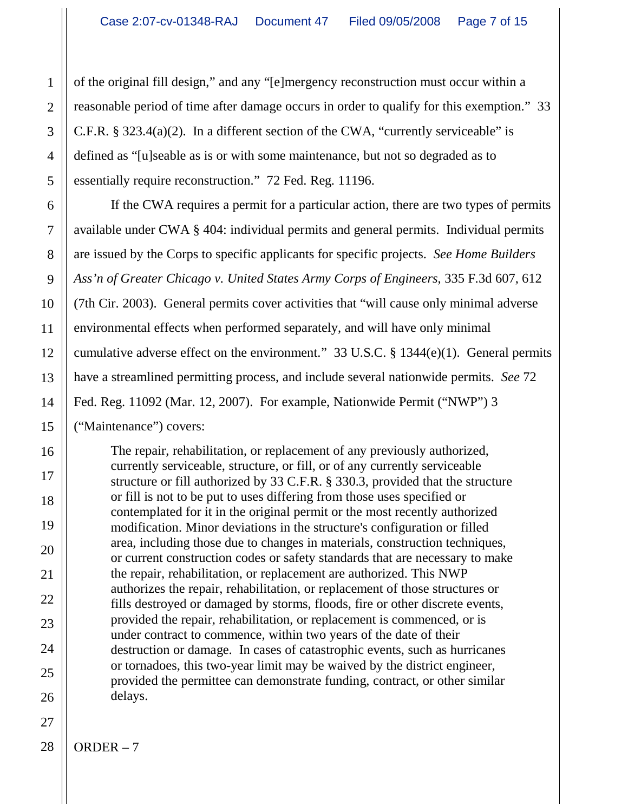of the original fill design," and any "[e]mergency reconstruction must occur within a reasonable period of time after damage occurs in order to qualify for this exemption." 33 C.F.R. § 323.4(a)(2). In a different section of the CWA, "currently serviceable" is defined as "[u]seable as is or with some maintenance, but not so degraded as to essentially require reconstruction." 72 Fed. Reg. 11196.

If the CWA requires a permit for a particular action, there are two types of permits available under CWA § 404: individual permits and general permits. Individual permits are issued by the Corps to specific applicants for specific projects. *See Home Builders Ass'n of Greater Chicago v. United States Army Corps of Engineers*, 335 F.3d 607, 612 (7th Cir. 2003). General permits cover activities that "will cause only minimal adverse environmental effects when performed separately, and will have only minimal cumulative adverse effect on the environment." 33 U.S.C. § 1344(e)(1). General permits have a streamlined permitting process, and include several nationwide permits. *See* 72 Fed. Reg. 11092 (Mar. 12, 2007). For example, Nationwide Permit ("NWP") 3 ("Maintenance") covers:

The repair, rehabilitation, or replacement of any previously authorized, currently serviceable, structure, or fill, or of any currently serviceable structure or fill authorized by 33 C.F.R. § 330.3, provided that the structure or fill is not to be put to uses differing from those uses specified or contemplated for it in the original permit or the most recently authorized modification. Minor deviations in the structure's configuration or filled area, including those due to changes in materials, construction techniques, or current construction codes or safety standards that are necessary to make the repair, rehabilitation, or replacement are authorized. This NWP authorizes the repair, rehabilitation, or replacement of those structures or fills destroyed or damaged by storms, floods, fire or other discrete events, provided the repair, rehabilitation, or replacement is commenced, or is under contract to commence, within two years of the date of their destruction or damage. In cases of catastrophic events, such as hurricanes or tornadoes, this two-year limit may be waived by the district engineer, provided the permittee can demonstrate funding, contract, or other similar delays.

1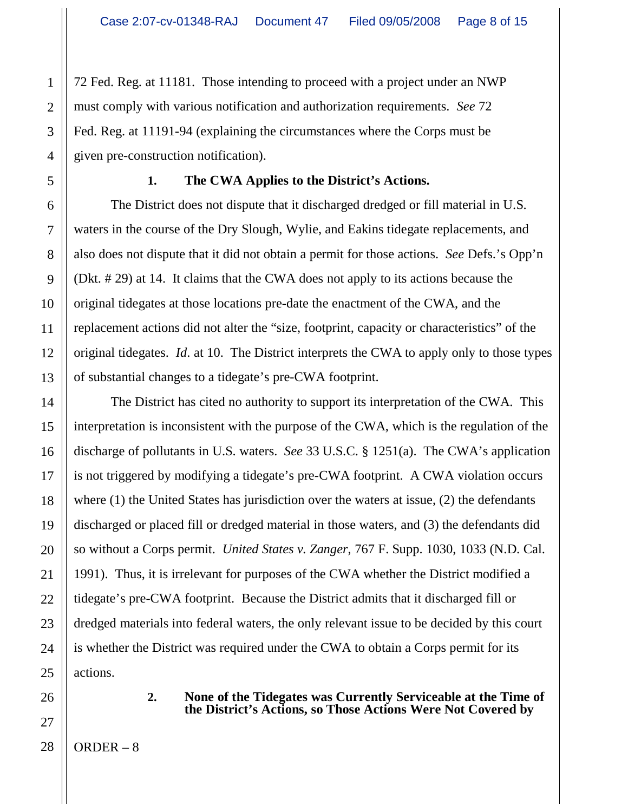72 Fed. Reg. at 11181. Those intending to proceed with a project under an NWP must comply with various notification and authorization requirements. *See* 72 Fed. Reg. at 11191-94 (explaining the circumstances where the Corps must be given pre-construction notification).

## **1. The CWA Applies to the District's Actions.**

The District does not dispute that it discharged dredged or fill material in U.S. waters in the course of the Dry Slough, Wylie, and Eakins tidegate replacements, and also does not dispute that it did not obtain a permit for those actions. *See* Defs.'s Opp'n (Dkt. # 29) at 14. It claims that the CWA does not apply to its actions because the original tidegates at those locations pre-date the enactment of the CWA, and the replacement actions did not alter the "size, footprint, capacity or characteristics" of the original tidegates. *Id*. at 10. The District interprets the CWA to apply only to those types of substantial changes to a tidegate's pre-CWA footprint.

The District has cited no authority to support its interpretation of the CWA. This interpretation is inconsistent with the purpose of the CWA, which is the regulation of the discharge of pollutants in U.S. waters. *See* 33 U.S.C. § 1251(a). The CWA's application is not triggered by modifying a tidegate's pre-CWA footprint. A CWA violation occurs where (1) the United States has jurisdiction over the waters at issue, (2) the defendants discharged or placed fill or dredged material in those waters, and (3) the defendants did so without a Corps permit. *United States v. Zanger*, 767 F. Supp. 1030, 1033 (N.D. Cal. 1991). Thus, it is irrelevant for purposes of the CWA whether the District modified a tidegate's pre-CWA footprint. Because the District admits that it discharged fill or dredged materials into federal waters, the only relevant issue to be decided by this court is whether the District was required under the CWA to obtain a Corps permit for its actions.

#### **2. None of the Tidegates was Currently Serviceable at the Time of the District's Actions, so Those Actions Were Not Covered by**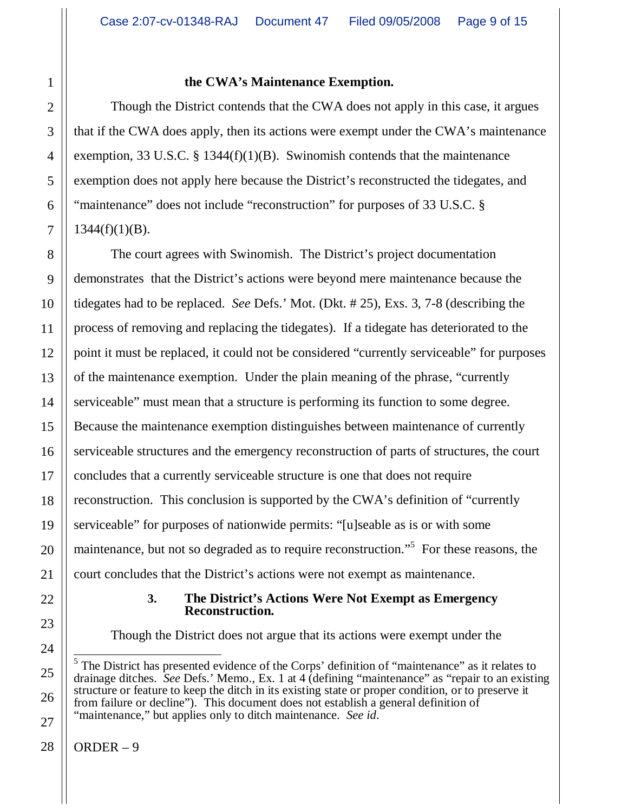## **the CWA's Maintenance Exemption.**

Though the District contends that the CWA does not apply in this case, it argues that if the CWA does apply, then its actions were exempt under the CWA's maintenance exemption, 33 U.S.C. § 1344(f)(1)(B). Swinomish contends that the maintenance exemption does not apply here because the District's reconstructed the tidegates, and "maintenance" does not include "reconstruction" for purposes of 33 U.S.C. §  $1344(f)(1)(B)$ .

The court agrees with Swinomish. The District's project documentation demonstrates that the District's actions were beyond mere maintenance because the tidegates had to be replaced. *See* Defs.' Mot. (Dkt. # 25), Exs. 3, 7-8 (describing the process of removing and replacing the tidegates). If a tidegate has deteriorated to the point it must be replaced, it could not be considered "currently serviceable" for purposes of the maintenance exemption. Under the plain meaning of the phrase, "currently serviceable" must mean that a structure is performing its function to some degree. Because the maintenance exemption distinguishes between maintenance of currently serviceable structures and the emergency reconstruction of parts of structures, the court concludes that a currently serviceable structure is one that does not require reconstruction. This conclusion is supported by the CWA's definition of "currently serviceable" for purposes of nationwide permits: "[u]seable as is or with some maintenance, but not so degraded as to require reconstruction."<sup>5</sup> For these reasons, the court concludes that the District's actions were not exempt as maintenance.

### **3. The District's Actions Were Not Exempt as Emergency Reconstruction.**

Though the District does not argue that its actions were exempt under the

<sup>&</sup>lt;sup>5</sup> The District has presented evidence of the Corps' definition of "maintenance" as it relates to drainage ditches. *See* Defs.' Memo., Ex. 1 at 4 (defining "maintenance" as "repair to an existing structure or feature to keep the ditch in its existing state or proper condition, or to preserve it from failure or decline"). This document does not establish a general definition of "maintenance," but applies only to ditch maintenance. *See id*.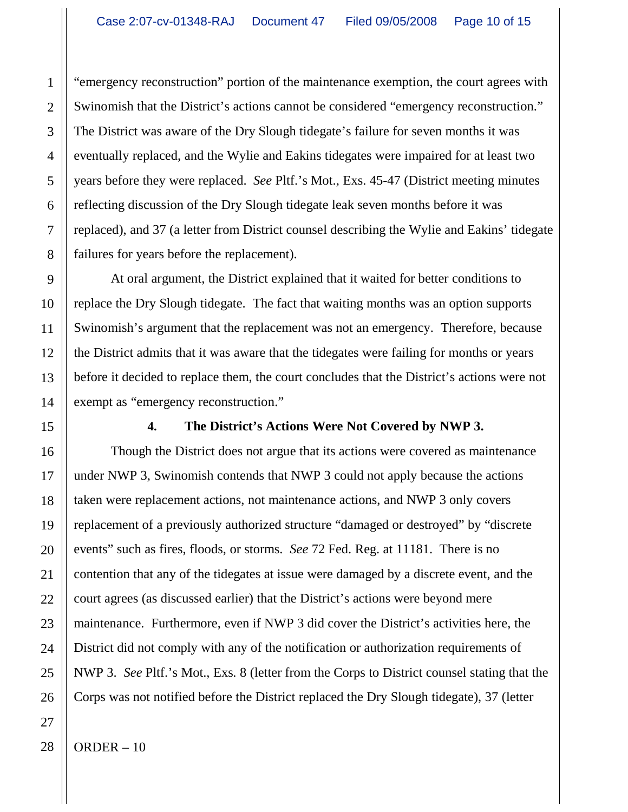"emergency reconstruction" portion of the maintenance exemption, the court agrees with Swinomish that the District's actions cannot be considered "emergency reconstruction." The District was aware of the Dry Slough tidegate's failure for seven months it was eventually replaced, and the Wylie and Eakins tidegates were impaired for at least two years before they were replaced. *See* Pltf.'s Mot., Exs. 45-47 (District meeting minutes reflecting discussion of the Dry Slough tidegate leak seven months before it was replaced), and 37 (a letter from District counsel describing the Wylie and Eakins' tidegate failures for years before the replacement).

At oral argument, the District explained that it waited for better conditions to replace the Dry Slough tidegate. The fact that waiting months was an option supports Swinomish's argument that the replacement was not an emergency. Therefore, because the District admits that it was aware that the tidegates were failing for months or years before it decided to replace them, the court concludes that the District's actions were not exempt as "emergency reconstruction."

## **4. The District's Actions Were Not Covered by NWP 3.**

Though the District does not argue that its actions were covered as maintenance under NWP 3, Swinomish contends that NWP 3 could not apply because the actions taken were replacement actions, not maintenance actions, and NWP 3 only covers replacement of a previously authorized structure "damaged or destroyed" by "discrete events" such as fires, floods, or storms. *See* 72 Fed. Reg. at 11181. There is no contention that any of the tidegates at issue were damaged by a discrete event, and the court agrees (as discussed earlier) that the District's actions were beyond mere maintenance. Furthermore, even if NWP 3 did cover the District's activities here, the District did not comply with any of the notification or authorization requirements of NWP 3. *See* Pltf.'s Mot., Exs. 8 (letter from the Corps to District counsel stating that the Corps was not notified before the District replaced the Dry Slough tidegate), 37 (letter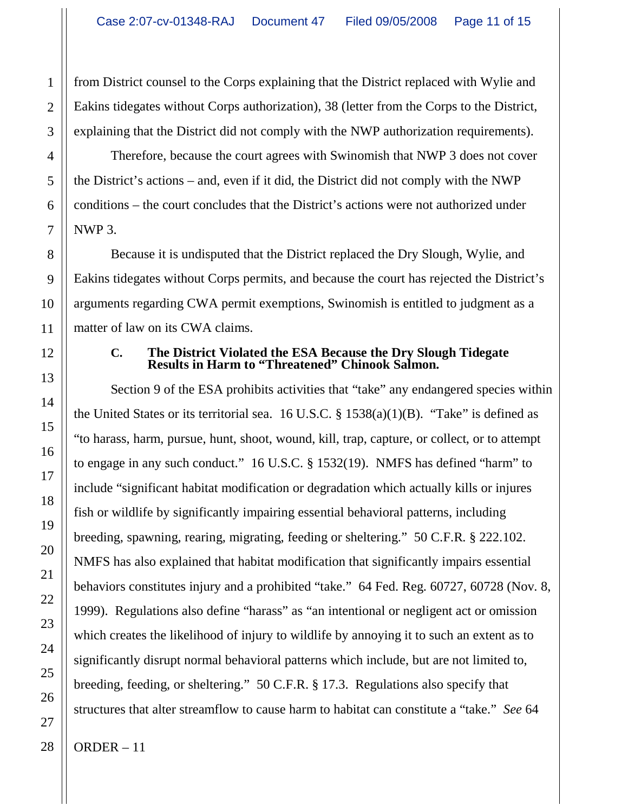from District counsel to the Corps explaining that the District replaced with Wylie and Eakins tidegates without Corps authorization), 38 (letter from the Corps to the District, explaining that the District did not comply with the NWP authorization requirements).

Therefore, because the court agrees with Swinomish that NWP 3 does not cover the District's actions – and, even if it did, the District did not comply with the NWP conditions – the court concludes that the District's actions were not authorized under NWP 3.

Because it is undisputed that the District replaced the Dry Slough, Wylie, and Eakins tidegates without Corps permits, and because the court has rejected the District's arguments regarding CWA permit exemptions, Swinomish is entitled to judgment as a matter of law on its CWA claims.

#### **C. The District Violated the ESA Because the Dry Slough Tidegate Results in Harm to "Threatened" Chinook Salmon.**

Section 9 of the ESA prohibits activities that "take" any endangered species within the United States or its territorial sea.  $16$  U.S.C. §  $1538(a)(1)(B)$ . "Take" is defined as "to harass, harm, pursue, hunt, shoot, wound, kill, trap, capture, or collect, or to attempt to engage in any such conduct." 16 U.S.C. § 1532(19). NMFS has defined "harm" to include "significant habitat modification or degradation which actually kills or injures fish or wildlife by significantly impairing essential behavioral patterns, including breeding, spawning, rearing, migrating, feeding or sheltering." 50 C.F.R. § 222.102. NMFS has also explained that habitat modification that significantly impairs essential behaviors constitutes injury and a prohibited "take." 64 Fed. Reg. 60727, 60728 (Nov. 8, 1999). Regulations also define "harass" as "an intentional or negligent act or omission which creates the likelihood of injury to wildlife by annoying it to such an extent as to significantly disrupt normal behavioral patterns which include, but are not limited to, breeding, feeding, or sheltering." 50 C.F.R. § 17.3. Regulations also specify that structures that alter streamflow to cause harm to habitat can constitute a "take." *See* 64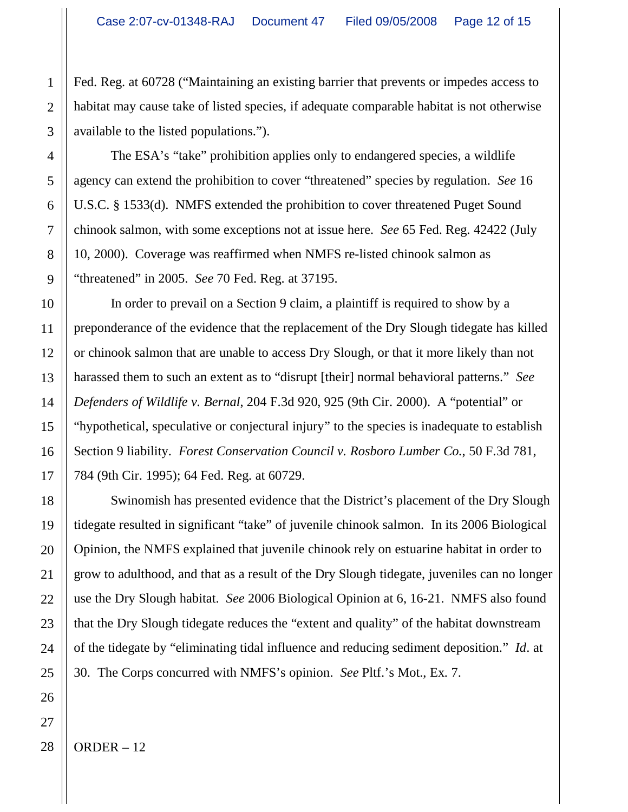Fed. Reg. at 60728 ("Maintaining an existing barrier that prevents or impedes access to habitat may cause take of listed species, if adequate comparable habitat is not otherwise available to the listed populations.").

The ESA's "take" prohibition applies only to endangered species, a wildlife agency can extend the prohibition to cover "threatened" species by regulation. *See* 16 U.S.C. § 1533(d). NMFS extended the prohibition to cover threatened Puget Sound chinook salmon, with some exceptions not at issue here. *See* 65 Fed. Reg. 42422 (July 10, 2000). Coverage was reaffirmed when NMFS re-listed chinook salmon as "threatened" in 2005. *See* 70 Fed. Reg. at 37195.

In order to prevail on a Section 9 claim, a plaintiff is required to show by a preponderance of the evidence that the replacement of the Dry Slough tidegate has killed or chinook salmon that are unable to access Dry Slough, or that it more likely than not harassed them to such an extent as to "disrupt [their] normal behavioral patterns." *See Defenders of Wildlife v. Bernal*, 204 F.3d 920, 925 (9th Cir. 2000). A "potential" or "hypothetical, speculative or conjectural injury" to the species is inadequate to establish Section 9 liability. *Forest Conservation Council v. Rosboro Lumber Co.*, 50 F.3d 781, 784 (9th Cir. 1995); 64 Fed. Reg. at 60729.

Swinomish has presented evidence that the District's placement of the Dry Slough tidegate resulted in significant "take" of juvenile chinook salmon. In its 2006 Biological Opinion, the NMFS explained that juvenile chinook rely on estuarine habitat in order to grow to adulthood, and that as a result of the Dry Slough tidegate, juveniles can no longer use the Dry Slough habitat. *See* 2006 Biological Opinion at 6, 16-21. NMFS also found that the Dry Slough tidegate reduces the "extent and quality" of the habitat downstream of the tidegate by "eliminating tidal influence and reducing sediment deposition." *Id*. at 30. The Corps concurred with NMFS's opinion. *See* Pltf.'s Mot., Ex. 7.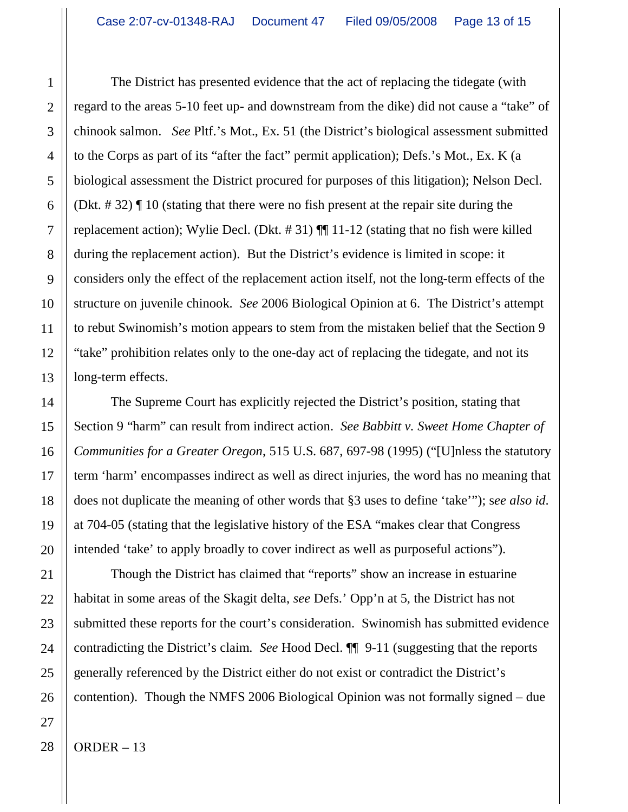The District has presented evidence that the act of replacing the tidegate (with regard to the areas 5-10 feet up- and downstream from the dike) did not cause a "take" of chinook salmon. *See* Pltf.'s Mot., Ex. 51 (the District's biological assessment submitted to the Corps as part of its "after the fact" permit application); Defs.'s Mot., Ex. K (a biological assessment the District procured for purposes of this litigation); Nelson Decl. (Dkt. # 32) ¶ 10 (stating that there were no fish present at the repair site during the replacement action); Wylie Decl. (Dkt. # 31) ¶¶ 11-12 (stating that no fish were killed during the replacement action). But the District's evidence is limited in scope: it considers only the effect of the replacement action itself, not the long-term effects of the structure on juvenile chinook. *See* 2006 Biological Opinion at 6. The District's attempt to rebut Swinomish's motion appears to stem from the mistaken belief that the Section 9 "take" prohibition relates only to the one-day act of replacing the tidegate, and not its long-term effects.

The Supreme Court has explicitly rejected the District's position, stating that Section 9 "harm" can result from indirect action. *See Babbitt v. Sweet Home Chapter of Communities for a Greater Oregon*, 515 U.S. 687, 697-98 (1995) ("[U]nless the statutory term 'harm' encompasses indirect as well as direct injuries, the word has no meaning that does not duplicate the meaning of other words that §3 uses to define 'take'"); s*ee also id*. at 704-05 (stating that the legislative history of the ESA "makes clear that Congress intended 'take' to apply broadly to cover indirect as well as purposeful actions").

Though the District has claimed that "reports" show an increase in estuarine habitat in some areas of the Skagit delta, *see* Defs.' Opp'n at 5, the District has not submitted these reports for the court's consideration. Swinomish has submitted evidence contradicting the District's claim. *See* Hood Decl. ¶¶ 9-11 (suggesting that the reports generally referenced by the District either do not exist or contradict the District's contention). Though the NMFS 2006 Biological Opinion was not formally signed – due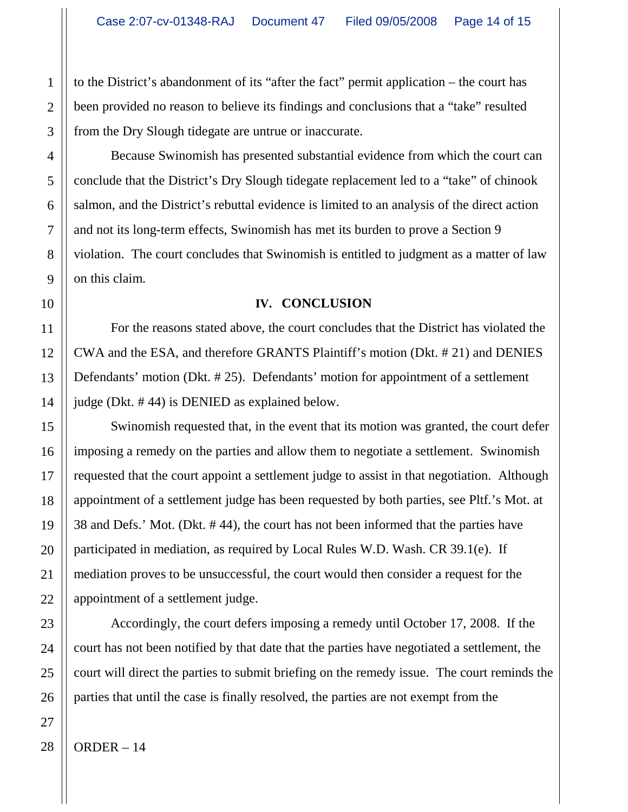to the District's abandonment of its "after the fact" permit application – the court has been provided no reason to believe its findings and conclusions that a "take" resulted from the Dry Slough tidegate are untrue or inaccurate.

Because Swinomish has presented substantial evidence from which the court can conclude that the District's Dry Slough tidegate replacement led to a "take" of chinook salmon, and the District's rebuttal evidence is limited to an analysis of the direct action and not its long-term effects, Swinomish has met its burden to prove a Section 9 violation. The court concludes that Swinomish is entitled to judgment as a matter of law on this claim.

### **IV. CONCLUSION**

For the reasons stated above, the court concludes that the District has violated the CWA and the ESA, and therefore GRANTS Plaintiff's motion (Dkt. # 21) and DENIES Defendants' motion (Dkt. # 25). Defendants' motion for appointment of a settlement judge (Dkt. # 44) is DENIED as explained below.

Swinomish requested that, in the event that its motion was granted, the court defer imposing a remedy on the parties and allow them to negotiate a settlement. Swinomish requested that the court appoint a settlement judge to assist in that negotiation. Although appointment of a settlement judge has been requested by both parties, see Pltf.'s Mot. at 38 and Defs.' Mot. (Dkt. # 44), the court has not been informed that the parties have participated in mediation, as required by Local Rules W.D. Wash. CR 39.1(e). If mediation proves to be unsuccessful, the court would then consider a request for the appointment of a settlement judge.

Accordingly, the court defers imposing a remedy until October 17, 2008. If the court has not been notified by that date that the parties have negotiated a settlement, the court will direct the parties to submit briefing on the remedy issue. The court reminds the parties that until the case is finally resolved, the parties are not exempt from the